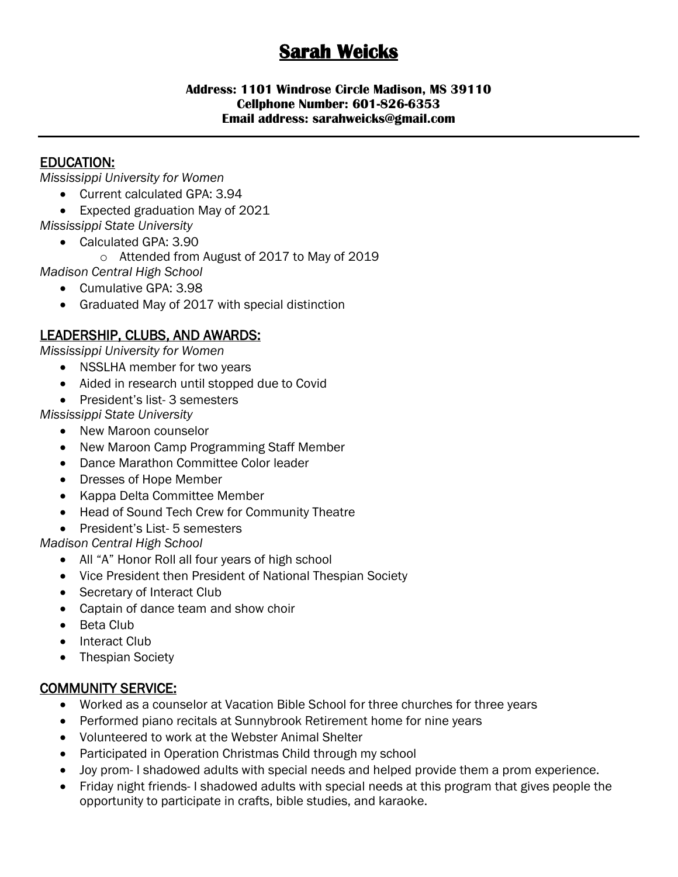# **Sarah Weicks**

#### **Address: 1101 Windrose Circle Madison, MS 39110 Cellphone Number: 601-826-6353 Email address: sarahweicks@gmail.com**

## EDUCATION:

*Mississippi University for Women*

- Current calculated GPA: 3.94
- Expected graduation May of 2021
- *Mississippi State University*
	- Calculated GPA: 3.90
		- o Attended from August of 2017 to May of 2019
- *Madison Central High School*
	- Cumulative GPA: 3.98
	- Graduated May of 2017 with special distinction

# LEADERSHIP, CLUBS, AND AWARDS:

*Mississippi University for Women*

- NSSLHA member for two years
- Aided in research until stopped due to Covid
- President's list- 3 semesters

*Mississippi State University*

- New Maroon counselor
- New Maroon Camp Programming Staff Member
- Dance Marathon Committee Color leader
- Dresses of Hope Member
- Kappa Delta Committee Member
- Head of Sound Tech Crew for Community Theatre
- President's List- 5 semesters

*Madison Central High School*

- All "A" Honor Roll all four years of high school
- Vice President then President of National Thespian Society
- Secretary of Interact Club
- Captain of dance team and show choir
- Beta Club
- Interact Club
- Thespian Society

### COMMUNITY SERVICE:

- Worked as a counselor at Vacation Bible School for three churches for three years
- Performed piano recitals at Sunnybrook Retirement home for nine years
- Volunteered to work at the Webster Animal Shelter
- Participated in Operation Christmas Child through my school
- Joy prom- I shadowed adults with special needs and helped provide them a prom experience.
- Friday night friends- I shadowed adults with special needs at this program that gives people the opportunity to participate in crafts, bible studies, and karaoke.